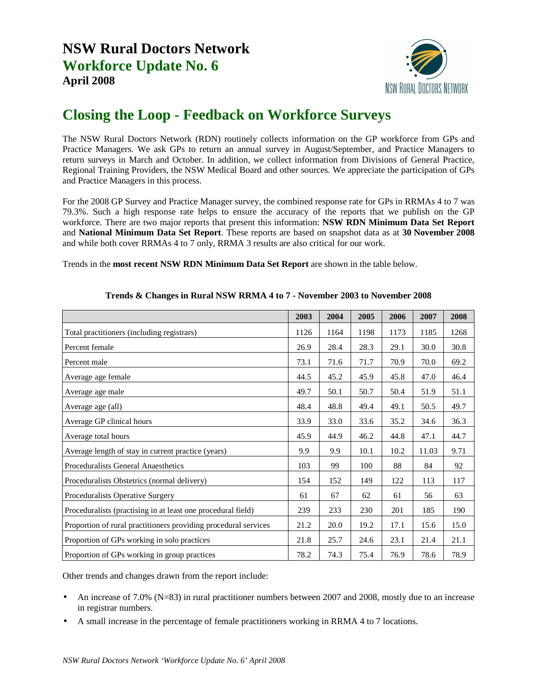

## **Closing the Loop - Feedback on Workforce Surveys**

The NSW Rural Doctors Network (RDN) routinely collects information on the GP workforce from GPs and Practice Managers. We ask GPs to return an annual survey in August/September, and Practice Managers to return surveys in March and October. In addition, we collect information from Divisions of General Practice, Regional Training Providers, the NSW Medical Board and other sources. We appreciate the participation of GPs and Practice Managers in this process.

For the 2008 GP Survey and Practice Manager survey, the combined response rate for GPs in RRMAs 4 to 7 was 79.3%. Such a high response rate helps to ensure the accuracy of the reports that we publish on the GP workforce. There are two major reports that present this information: **NSW RDN Minimum Data Set Report** and **National Minimum Data Set Report**. These reports are based on snapshot data as at **30 November 2008** and while both cover RRMAs 4 to 7 only, RRMA 3 results are also critical for our work.

Trends in the **most recent NSW RDN Minimum Data Set Report** are shown in the table below.

|                                                                 | 2003 | 2004 | 2005 | 2006 | 2007  | 2008 |
|-----------------------------------------------------------------|------|------|------|------|-------|------|
| Total practitioners (including registrars)                      | 1126 | 1164 | 1198 | 1173 | 1185  | 1268 |
| Percent female                                                  | 26.9 | 28.4 | 28.3 | 29.1 | 30.0  | 30.8 |
| Percent male                                                    | 73.1 | 71.6 | 71.7 | 70.9 | 70.0  | 69.2 |
| Average age female                                              | 44.5 | 45.2 | 45.9 | 45.8 | 47.0  | 46.4 |
| Average age male                                                | 49.7 | 50.1 | 50.7 | 50.4 | 51.9  | 51.1 |
| Average age (all)                                               | 48.4 | 48.8 | 49.4 | 49.1 | 50.5  | 49.7 |
| Average GP clinical hours                                       | 33.9 | 33.0 | 33.6 | 35.2 | 34.6  | 36.3 |
| Average total hours                                             | 45.9 | 44.9 | 46.2 | 44.8 | 47.1  | 44.7 |
| Average length of stay in current practice (years)              | 9.9  | 9.9  | 10.1 | 10.2 | 11.03 | 9.71 |
| Proceduralists General Anaesthetics                             | 103  | 99   | 100  | 88   | 84    | 92   |
| Proceduralists Obstetrics (normal delivery)                     | 154  | 152  | 149  | 122  | 113   | 117  |
| Proceduralists Operative Surgery                                | 61   | 67   | 62   | 61   | 56    | 63   |
| Proceduralists (practising in at least one procedural field)    | 239  | 233  | 230  | 201  | 185   | 190  |
| Proportion of rural practitioners providing procedural services | 21.2 | 20.0 | 19.2 | 17.1 | 15.6  | 15.0 |
| Proportion of GPs working in solo practices                     | 21.8 | 25.7 | 24.6 | 23.1 | 21.4  | 21.1 |
| Proportion of GPs working in group practices                    | 78.2 | 74.3 | 75.4 | 76.9 | 78.6  | 78.9 |

## **Trends & Changes in Rural NSW RRMA 4 to 7 - November 2003 to November 2008**

Other trends and changes drawn from the report include:

- An increase of 7.0% (N=83) in rural practitioner numbers between 2007 and 2008, mostly due to an increase in registrar numbers.
- A small increase in the percentage of female practitioners working in RRMA 4 to 7 locations.